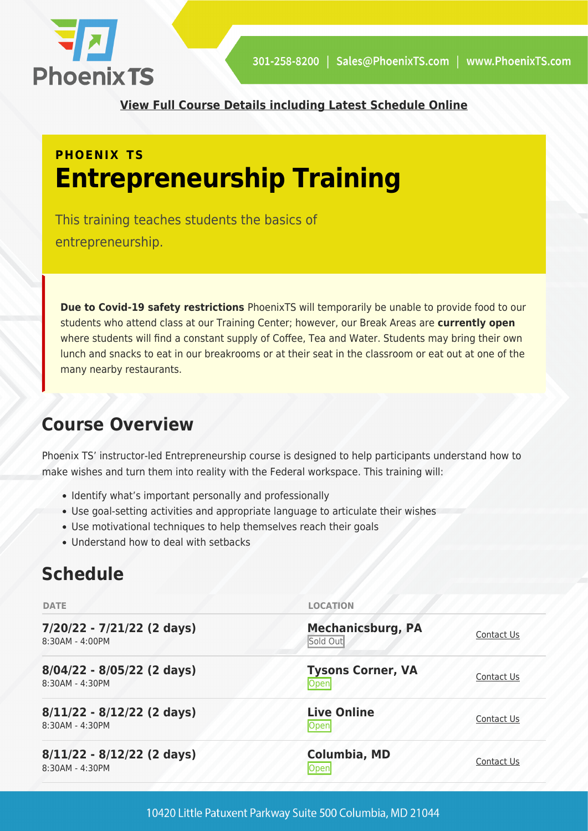

**[View Full Course Details including Latest Schedule Online](https://phoenixts.com/training-courses/entrepreneurship/)**

# **PHOENIX TS Entrepreneurship Training**

This training teaches students the basics of entrepreneurship.

**Due to Covid-19 safety restrictions** PhoenixTS will temporarily be unable to provide food to our students who attend class at our Training Center; however, our Break Areas are **currently open** where students will find a constant supply of Coffee, Tea and Water. Students may bring their own lunch and snacks to eat in our breakrooms or at their seat in the classroom or eat out at one of the many nearby restaurants.

## **Course Overview**

Phoenix TS' instructor-led Entrepreneurship course is designed to help participants understand how to make wishes and turn them into reality with the Federal workspace. This training will:

- Identify what's important personally and professionally
- Use goal-setting activities and appropriate language to articulate their wishes
- Use motivational techniques to help themselves reach their goals
- Understand how to deal with setbacks

## **Schedule**

| <b>DATE</b>                                     | <b>LOCATION</b>                      |            |
|-------------------------------------------------|--------------------------------------|------------|
| 7/20/22 - 7/21/22 (2 days)<br>8:30AM - 4:00PM   | <b>Mechanicsburg, PA</b><br>Sold Out | Contact Us |
| 8/04/22 - 8/05/22 (2 days)<br>8:30AM - 4:30PM   | <b>Tysons Corner, VA</b><br>Open     | Contact Us |
| $8/11/22 - 8/12/22$ (2 days)<br>8:30AM - 4:30PM | <b>Live Online</b><br>Open           | Contact Us |
| 8/11/22 - 8/12/22 (2 days)<br>8:30AM - 4:30PM   | <b>Columbia, MD</b><br><b>Open</b>   | Contact Us |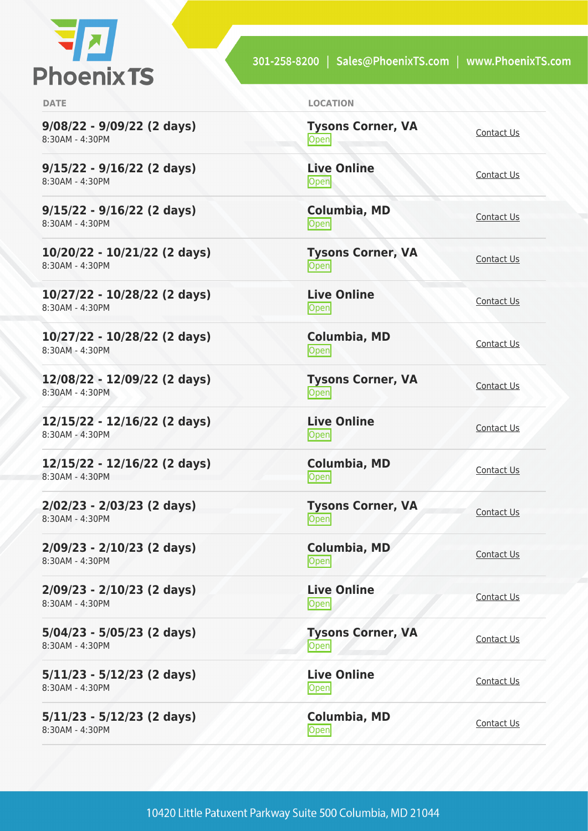

301-258-8200 | Sales@PhoenixTS.com | www.PhoenixTS.com

**9/08/22 - 9/09/22 (2 days)** 8:30AM - 4:30PM

**9/15/22 - 9/16/22 (2 days)** 8:30AM - 4:30PM

**9/15/22 - 9/16/22 (2 days)** 8:30AM - 4:30PM

**10/20/22 - 10/21/22 (2 days)** 8:30AM - 4:30PM

**10/27/22 - 10/28/22 (2 days)** 8:30AM - 4:30PM

**10/27/22 - 10/28/22 (2 days)** 8:30AM - 4:30PM

**12/08/22 - 12/09/22 (2 days)** 8:30AM - 4:30PM

**12/15/22 - 12/16/22 (2 days)** 8:30AM - 4:30PM

**12/15/22 - 12/16/22 (2 days)** 8:30AM - 4:30PM

**2/02/23 - 2/03/23 (2 days)** 8:30AM - 4:30PM

**2/09/23 - 2/10/23 (2 days)** 8:30AM - 4:30PM

**2/09/23 - 2/10/23 (2 days)** 8:30AM - 4:30PM

**5/04/23 - 5/05/23 (2 days)** 8:30AM - 4:30PM

**5/11/23 - 5/12/23 (2 days)** 8:30AM - 4:30PM

**5/11/23 - 5/12/23 (2 days)** 8:30AM - 4:30PM

| <b>DATE</b> | <b>LOCATION</b> |
|-------------|-----------------|
|             |                 |

**Tysons Corner, VA Open** [Contact Us](https://phoenixts.com/schedule/more-info/?class=21437) **Live Online** <u>Open</u> [Contact Us](https://phoenixts.com/schedule/more-info/?class=21445)

**Columbia, MD** [Contact Us](https://phoenixts.com/schedule/more-info/?class=21455)<br>Open

**Tysons Corner, VA Open** [Contact Us](https://phoenixts.com/schedule/more-info/?class=21458)

**Live Online** <u>[Contact Us](https://phoenixts.com/schedule/more-info/?class=21446)</u>

**Columbia, MD [Contact Us](https://phoenixts.com/schedule/more-info/?class=21456)**<br>
Open Contact Us

**Tysons Corner, VA Open** [Contact Us](https://phoenixts.com/schedule/more-info/?class=21439)

**Live Online** <u>Open</u> [Contact Us](https://phoenixts.com/schedule/more-info/?class=21447)

**Columbia, MD** [Contact Us](https://phoenixts.com/schedule/more-info/?class=21457)<br>Open

**Tysons Corner, VA Open** [Contact Us](https://phoenixts.com/schedule/more-info/?class=30671)

**Columbia, MD** [Contact Us](https://phoenixts.com/schedule/more-info/?class=30681)<br>Open Contact Us

**Live Online** Open [Contact Us](https://phoenixts.com/schedule/more-info/?class=30682)

**Tysons Corner, VA Open** [Contact Us](https://phoenixts.com/schedule/more-info/?class=30672) **Live Online** <u>Open</u> [Contact Us](https://phoenixts.com/schedule/more-info/?class=30675)

**Columbia, MD**

[Contact Us](https://phoenixts.com/schedule/more-info/?class=30678)<br>Open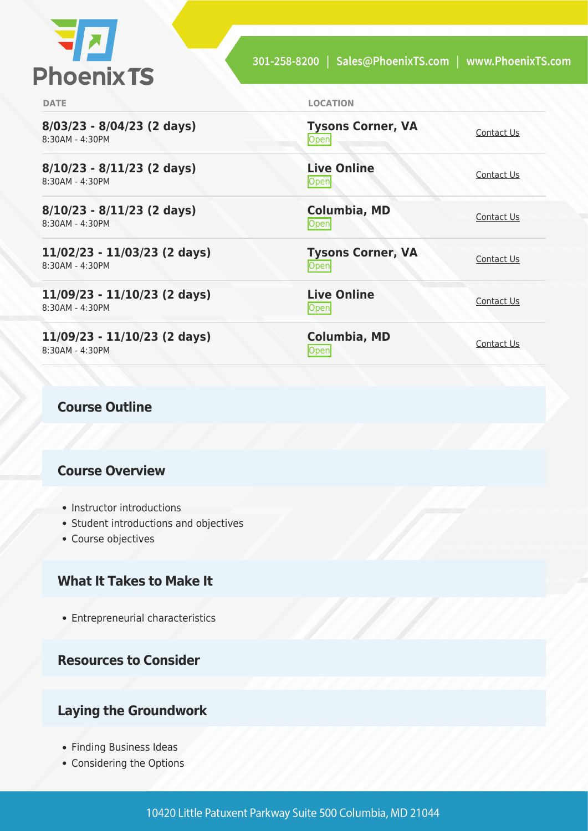

**Open** [Contact Us](https://phoenixts.com/schedule/more-info/?class=30673)

<u>Open</u> [Contact Us](https://phoenixts.com/schedule/more-info/?class=30677)

[Contact Us](https://phoenixts.com/schedule/more-info/?class=30679)<br>Open

<u>Open</u> [Contact Us](https://phoenixts.com/schedule/more-info/?class=30674)

<u>[Contact Us](https://phoenixts.com/schedule/more-info/?class=30676)</u>

**[Contact Us](https://phoenixts.com/schedule/more-info/?class=30680)**<br>
Open Contact Us

**Tysons Corner, VA**

**Live Online**

**Columbia, MD**

**Live Online**

**Columbia, MD**

**Tysons Corner, VA**

**DATE LOCATION**

**8/03/23 - 8/04/23 (2 days)** 8:30AM - 4:30PM

**8/10/23 - 8/11/23 (2 days)** 8:30AM - 4:30PM

**8/10/23 - 8/11/23 (2 days)** 8:30AM - 4:30PM

**11/02/23 - 11/03/23 (2 days)** 8:30AM - 4:30PM

**11/09/23 - 11/10/23 (2 days)** 8:30AM - 4:30PM

**11/09/23 - 11/10/23 (2 days)** 8:30AM - 4:30PM

#### **Course Outline**

#### **Course Overview**

- Instructor introductions
- Student introductions and objectives
- Course objectives

### **What It Takes to Make It**

Entrepreneurial characteristics

**Resources to Consider**

#### **Laying the Groundwork**

- Finding Business Ideas
- Considering the Options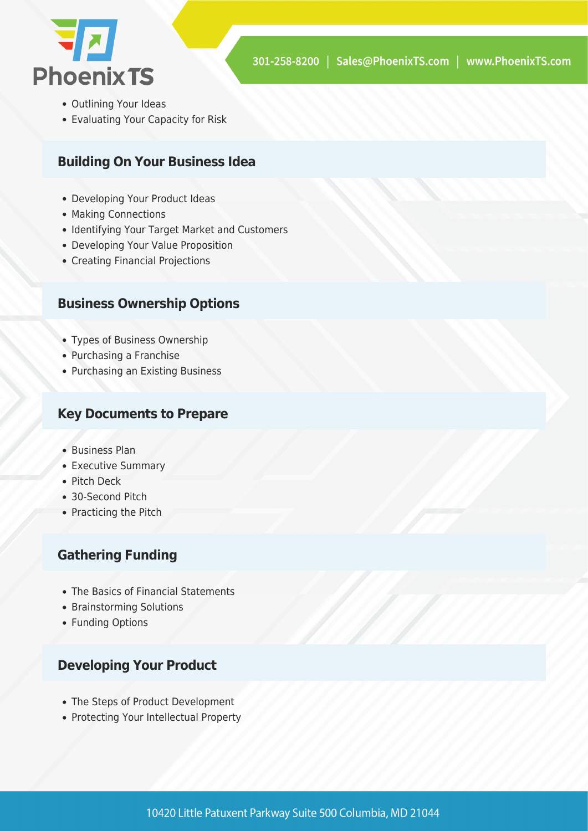

- Outlining Your Ideas
- Evaluating Your Capacity for Risk

### **Building On Your Business Idea**

- Developing Your Product Ideas
- Making Connections
- Identifying Your Target Market and Customers
- Developing Your Value Proposition
- Creating Financial Projections

#### **Business Ownership Options**

- Types of Business Ownership
- Purchasing a Franchise
- Purchasing an Existing Business

#### **Key Documents to Prepare**

- Business Plan
- Executive Summary
- Pitch Deck
- 30-Second Pitch
- Practicing the Pitch

#### **Gathering Funding**

- The Basics of Financial Statements
- Brainstorming Solutions
- Funding Options

### **Developing Your Product**

- The Steps of Product Development
- Protecting Your Intellectual Property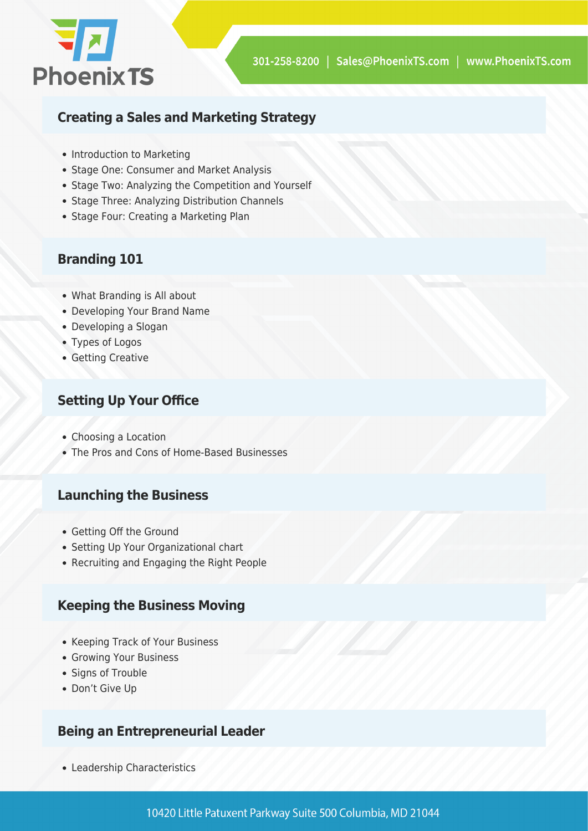

### **Creating a Sales and Marketing Strategy**

- Introduction to Marketing
- Stage One: Consumer and Market Analysis
- Stage Two: Analyzing the Competition and Yourself
- Stage Three: Analyzing Distribution Channels
- Stage Four: Creating a Marketing Plan

## **Branding 101**

- What Branding is All about
- Developing Your Brand Name
- Developing a Slogan
- Types of Logos
- Getting Creative

## **Setting Up Your Office**

- Choosing a Location
- The Pros and Cons of Home-Based Businesses

#### **Launching the Business**

- Getting Off the Ground
- Setting Up Your Organizational chart
- Recruiting and Engaging the Right People

### **Keeping the Business Moving**

- Keeping Track of Your Business
- Growing Your Business
- Signs of Trouble
- Don't Give Up

### **Being an Entrepreneurial Leader**

Leadership Characteristics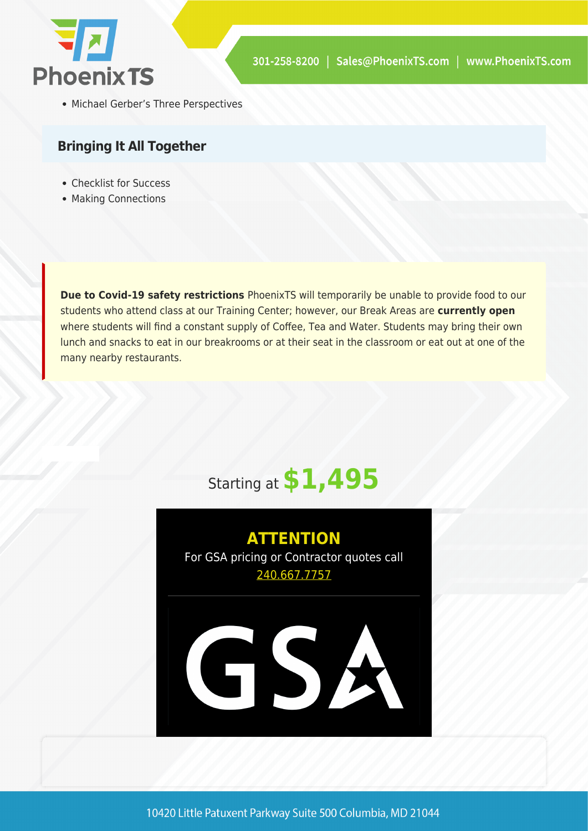

Michael Gerber's Three Perspectives

#### **Bringing It All Together**

- Checklist for Success
- Making Connections

**Due to Covid-19 safety restrictions** PhoenixTS will temporarily be unable to provide food to our students who attend class at our Training Center; however, our Break Areas are **currently open** where students will find a constant supply of Coffee, Tea and Water. Students may bring their own lunch and snacks to eat in our breakrooms or at their seat in the classroom or eat out at one of the many nearby restaurants.